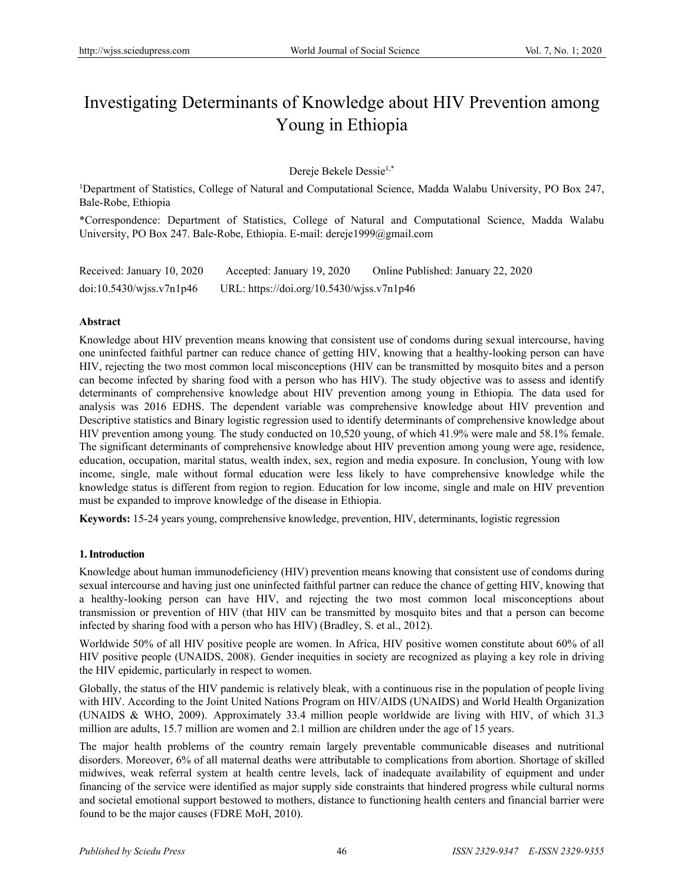# Investigating Determinants of Knowledge about HIV Prevention among Young in Ethiopia

Dereje Bekele Dessie1,\*

<sup>1</sup>Department of Statistics, College of Natural and Computational Science, Madda Walabu University, PO Box 247, Bale-Robe, Ethiopia

\*Correspondence: Department of Statistics, College of Natural and Computational Science, Madda Walabu University, PO Box 247. Bale-Robe, Ethiopia. E-mail: dereje1999@gmail.com

| Received: January 10, 2020  | Accepted: January 19, 2020                | Online Published: January 22, 2020 |
|-----------------------------|-------------------------------------------|------------------------------------|
| $doi:10.5430/w$ jss.v7n1p46 | URL: https://doi.org/10.5430/wjss.v7n1p46 |                                    |

# **Abstract**

Knowledge about HIV prevention means knowing that consistent use of condoms during sexual intercourse, having one uninfected faithful partner can reduce chance of getting HIV, knowing that a healthy-looking person can have HIV, rejecting the two most common local misconceptions (HIV can be transmitted by mosquito bites and a person can become infected by sharing food with a person who has HIV). The study objective was to assess and identify determinants of comprehensive knowledge about HIV prevention among young in Ethiopia*.* The data used for analysis was 2016 EDHS. The dependent variable was comprehensive knowledge about HIV prevention and Descriptive statistics and Binary logistic regression used to identify determinants of comprehensive knowledge about HIV prevention among young*.* The study conducted on 10,520 young, of which 41.9% were male and 58.1% female. The significant determinants of comprehensive knowledge about HIV prevention among young were age, residence, education, occupation, marital status, wealth index, sex, region and media exposure. In conclusion, Young with low income, single, male without formal education were less likely to have comprehensive knowledge while the knowledge status is different from region to region. Education for low income, single and male on HIV prevention must be expanded to improve knowledge of the disease in Ethiopia.

**Keywords:** 15-24 years young, comprehensive knowledge, prevention, HIV, determinants, logistic regression

# **1. Introduction**

Knowledge about human immunodeficiency (HIV) prevention means knowing that consistent use of condoms during sexual intercourse and having just one uninfected faithful partner can reduce the chance of getting HIV, knowing that a healthy-looking person can have HIV, and rejecting the two most common local misconceptions about transmission or prevention of HIV (that HIV can be transmitted by mosquito bites and that a person can become infected by sharing food with a person who has HIV) (Bradley, S. et al., 2012).

Worldwide 50% of all HIV positive people are women. In Africa, HIV positive women constitute about 60% of all HIV positive people (UNAIDS, 2008). Gender inequities in society are recognized as playing a key role in driving the HIV epidemic, particularly in respect to women.

Globally, the status of the HIV pandemic is relatively bleak, with a continuous rise in the population of people living with HIV. According to the Joint United Nations Program on HIV/AIDS (UNAIDS) and World Health Organization (UNAIDS & WHO, 2009). Approximately 33.4 million people worldwide are living with HIV, of which 31.3 million are adults, 15.7 million are women and 2.1 million are children under the age of 15 years.

The major health problems of the country remain largely preventable communicable diseases and nutritional disorders. Moreover, 6% of all maternal deaths were attributable to complications from abortion. Shortage of skilled midwives, weak referral system at health centre levels, lack of inadequate availability of equipment and under financing of the service were identified as major supply side constraints that hindered progress while cultural norms and societal emotional support bestowed to mothers, distance to functioning health centers and financial barrier were found to be the major causes (FDRE MoH, 2010).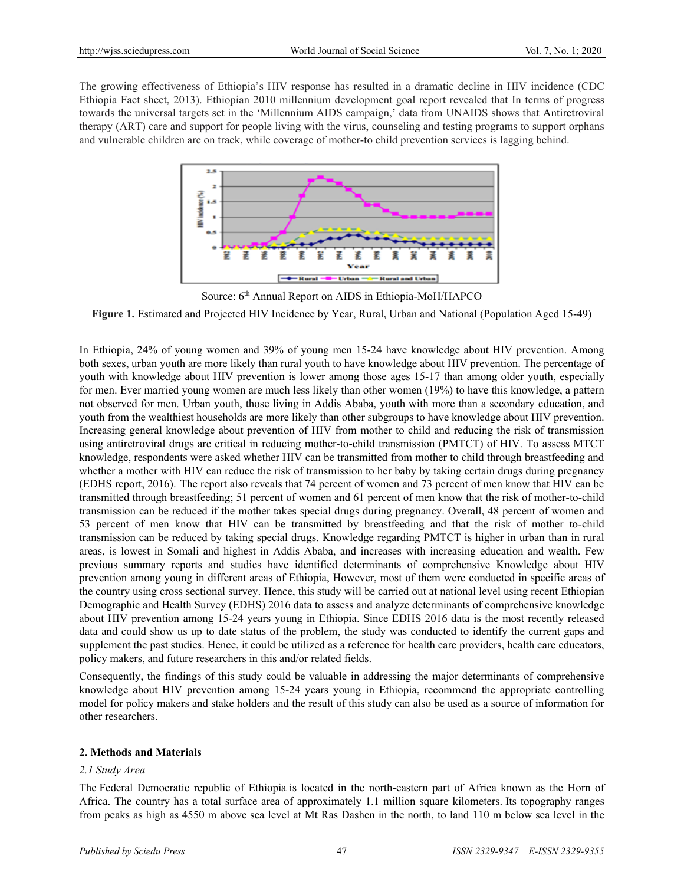The growing effectiveness of Ethiopia's HIV response has resulted in a dramatic decline in HIV incidence (CDC Ethiopia Fact sheet, 2013). Ethiopian 2010 millennium development goal report revealed that In terms of progress towards the universal targets set in the 'Millennium AIDS campaign,' data from UNAIDS shows that Antiretroviral therapy (ART) care and support for people living with the virus, counseling and testing programs to support orphans and vulnerable children are on track, while coverage of mother-to child prevention services is lagging behind.



Source: 6<sup>th</sup> Annual Report on AIDS in Ethiopia-MoH/HAPCO

**Figure 1.** Estimated and Projected HIV Incidence by Year, Rural, Urban and National (Population Aged 15-49)

In Ethiopia, 24% of young women and 39% of young men 15-24 have knowledge about HIV prevention. Among both sexes, urban youth are more likely than rural youth to have knowledge about HIV prevention. The percentage of youth with knowledge about HIV prevention is lower among those ages 15-17 than among older youth, especially for men. Ever married young women are much less likely than other women (19%) to have this knowledge, a pattern not observed for men. Urban youth, those living in Addis Ababa, youth with more than a secondary education, and youth from the wealthiest households are more likely than other subgroups to have knowledge about HIV prevention. Increasing general knowledge about prevention of HIV from mother to child and reducing the risk of transmission using antiretroviral drugs are critical in reducing mother-to-child transmission (PMTCT) of HIV. To assess MTCT knowledge, respondents were asked whether HIV can be transmitted from mother to child through breastfeeding and whether a mother with HIV can reduce the risk of transmission to her baby by taking certain drugs during pregnancy (EDHS report, 2016). The report also reveals that 74 percent of women and 73 percent of men know that HIV can be transmitted through breastfeeding; 51 percent of women and 61 percent of men know that the risk of mother-to-child transmission can be reduced if the mother takes special drugs during pregnancy. Overall, 48 percent of women and 53 percent of men know that HIV can be transmitted by breastfeeding and that the risk of mother to-child transmission can be reduced by taking special drugs. Knowledge regarding PMTCT is higher in urban than in rural areas, is lowest in Somali and highest in Addis Ababa, and increases with increasing education and wealth. Few previous summary reports and studies have identified determinants of comprehensive Knowledge about HIV prevention among young in different areas of Ethiopia, However, most of them were conducted in specific areas of the country using cross sectional survey. Hence, this study will be carried out at national level using recent Ethiopian Demographic and Health Survey (EDHS) 2016 data to assess and analyze determinants of comprehensive knowledge about HIV prevention among 15-24 years young in Ethiopia. Since EDHS 2016 data is the most recently released data and could show us up to date status of the problem, the study was conducted to identify the current gaps and supplement the past studies. Hence, it could be utilized as a reference for health care providers, health care educators, policy makers, and future researchers in this and/or related fields.

Consequently, the findings of this study could be valuable in addressing the major determinants of comprehensive knowledge about HIV prevention among 15*-*24 years young in Ethiopia, recommend the appropriate controlling model for policy makers and stake holders and the result of this study can also be used as a source of information for other researchers.

# **2. Methods and Materials**

### *2.1 Study Area*

The [Federal](http://www.imf.org/external/pubs/ft/scr/2011/cr11305.pdf) Democratic republic of Ethiopia is located in the north-eastern part of Africa known as the Horn of Africa. The country has a total surface area of approximately 1.1 million square kilometers. Its topography ranges from peaks as high as 4550 m above sea level at Mt Ras Dashen in the north, to land 110 m below sea level in the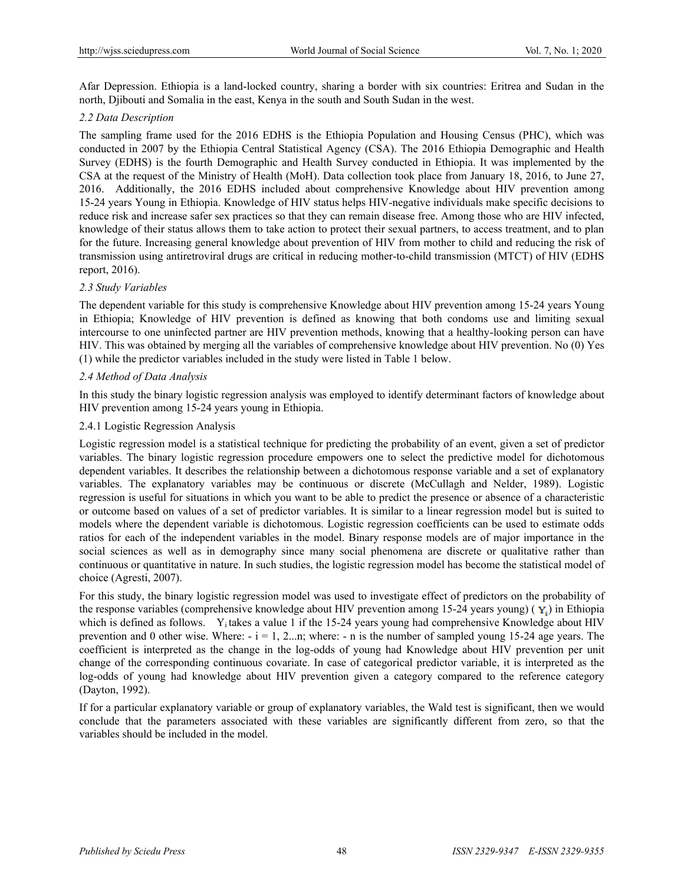Afar Depression. Ethiopia is a land-locked country, sharing a border with six countries: Eritrea and Sudan in the north, Djibouti and Somalia in the east, Kenya in the south and South Sudan in the west.

# *2.2 Data Description*

The sampling frame used for the 2016 EDHS is the Ethiopia Population and Housing Census (PHC), which was conducted in 2007 by the Ethiopia Central Statistical Agency (CSA). The 2016 Ethiopia Demographic and Health Survey (EDHS) is the fourth Demographic and Health Survey conducted in Ethiopia. It was implemented by the CSA at the request of the Ministry of Health (MoH). Data collection took place from January 18, 2016, to June 27, 2016. Additionally, the 2016 EDHS included about comprehensive Knowledge about HIV prevention among 15-24 years Young in Ethiopia. Knowledge of HIV status helps HIV-negative individuals make specific decisions to reduce risk and increase safer sex practices so that they can remain disease free. Among those who are HIV infected, knowledge of their status allows them to take action to protect their sexual partners, to access treatment, and to plan for the future. Increasing general knowledge about prevention of HIV from mother to child and reducing the risk of transmission using antiretroviral drugs are critical in reducing mother-to-child transmission (MTCT) of HIV (EDHS report, 2016).

# *2.3 Study Variables*

The dependent variable for this study is comprehensive Knowledge about HIV prevention among 15-24 years Young in Ethiopia; Knowledge of HIV prevention is defined as knowing that both condoms use and limiting sexual intercourse to one uninfected partner are HIV prevention methods, knowing that a healthy-looking person can have HIV. This was obtained by merging all the variables of comprehensive knowledge about HIV prevention. No (0) Yes (1) while the predictor variables included in the study were listed in Table 1 below.

## *2.4 Method of Data Analysis*

In this study the binary logistic regression analysis was employed to identify determinant factors of knowledge about HIV prevention among 15-24 years young in Ethiopia.

## 2.4.1 Logistic Regression Analysis

Logistic regression model is a statistical technique for predicting the probability of an event, given a set of predictor variables. The binary logistic regression procedure empowers one to select the predictive model for dichotomous dependent variables. It describes the relationship between a dichotomous response variable and a set of explanatory variables. The explanatory variables may be continuous or discrete (McCullagh and Nelder, 1989). Logistic regression is useful for situations in which you want to be able to predict the presence or absence of a characteristic or outcome based on values of a set of predictor variables. It is similar to a linear regression model but is suited to models where the dependent variable is dichotomous. Logistic regression coefficients can be used to estimate odds ratios for each of the independent variables in the model. Binary response models are of major importance in the social sciences as well as in demography since many social phenomena are discrete or qualitative rather than continuous or quantitative in nature. In such studies, the logistic regression model has become the statistical model of choice (Agresti, 2007).

For this study, the binary logistic regression model was used to investigate effect of predictors on the probability of the response variables (comprehensive knowledge about HIV prevention among 15-24 years young) ( $\mathbf{v}_i$ ) in Ethiopia which is defined as follows. Y<sub>i</sub> takes a value 1 if the 15-24 years young had comprehensive Knowledge about HIV prevention and 0 other wise. Where:  $-i = 1, 2...n$ ; where:  $-n$  is the number of sampled young 15-24 age years. The coefficient is interpreted as the change in the log-odds of young had Knowledge about HIV prevention per unit change of the corresponding continuous covariate. In case of categorical predictor variable, it is interpreted as the log-odds of young had knowledge about HIV prevention given a category compared to the reference category (Dayton, 1992).

If for a particular explanatory variable or group of explanatory variables, the Wald test is significant, then we would conclude that the parameters associated with these variables are significantly different from zero, so that the variables should be included in the model.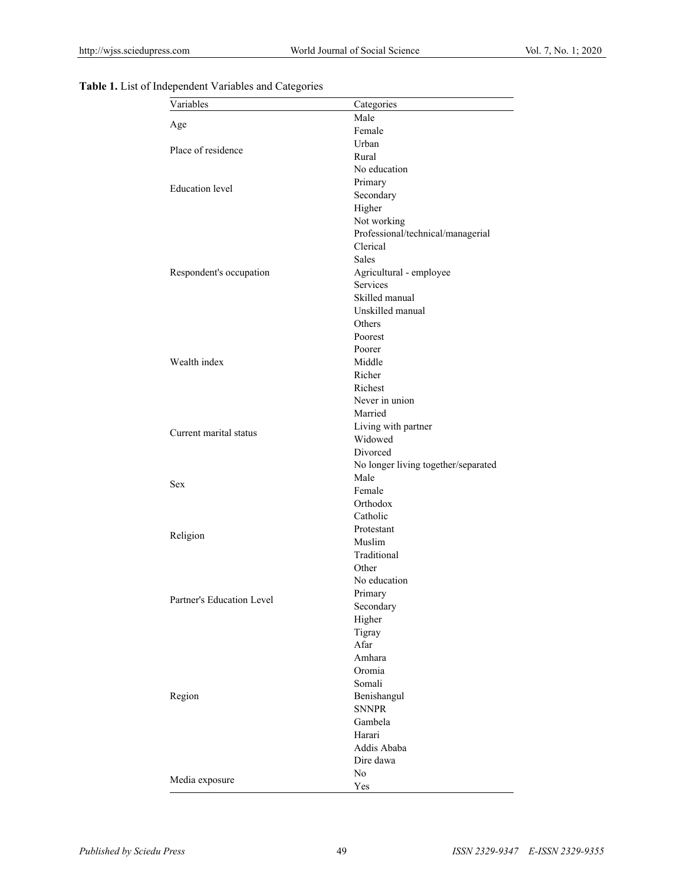| Variables                 | Categories                          |
|---------------------------|-------------------------------------|
| Age                       | Male                                |
|                           | Female                              |
| Place of residence        | Urban                               |
|                           | Rural                               |
|                           | No education                        |
| <b>Education</b> level    | Primary                             |
|                           | Secondary                           |
|                           | Higher                              |
|                           | Not working                         |
|                           | Professional/technical/managerial   |
|                           | Clerical                            |
|                           | Sales                               |
| Respondent's occupation   | Agricultural - employee             |
|                           | Services                            |
|                           | Skilled manual                      |
|                           | Unskilled manual                    |
|                           | Others                              |
|                           | Poorest                             |
|                           | Poorer                              |
| Wealth index              | Middle                              |
|                           | Richer                              |
|                           | Richest                             |
|                           | Never in union                      |
|                           | Married                             |
|                           | Living with partner                 |
| Current marital status    | Widowed                             |
|                           | Divorced                            |
|                           | No longer living together/separated |
|                           | Male                                |
| <b>Sex</b>                | Female                              |
|                           | Orthodox                            |
|                           | Catholic                            |
|                           |                                     |
| Religion                  | Protestant                          |
|                           | Muslim                              |
|                           | Traditional                         |
|                           | Other                               |
|                           | No education                        |
| Partner's Education Level | Primary                             |
|                           | Secondary                           |
|                           | Higher                              |
|                           | Tigray                              |
|                           | Afar                                |
|                           | Amhara                              |
|                           | Oromia                              |
|                           | Somali                              |
| Region                    | Benishangul                         |
|                           | <b>SNNPR</b>                        |
|                           | Gambela                             |
|                           | Harari                              |
|                           | Addis Ababa                         |
|                           | Dire dawa                           |
|                           | No                                  |
| Media exposure            | Yes                                 |
|                           |                                     |

**Table 1.** List of Independent Variables and Categories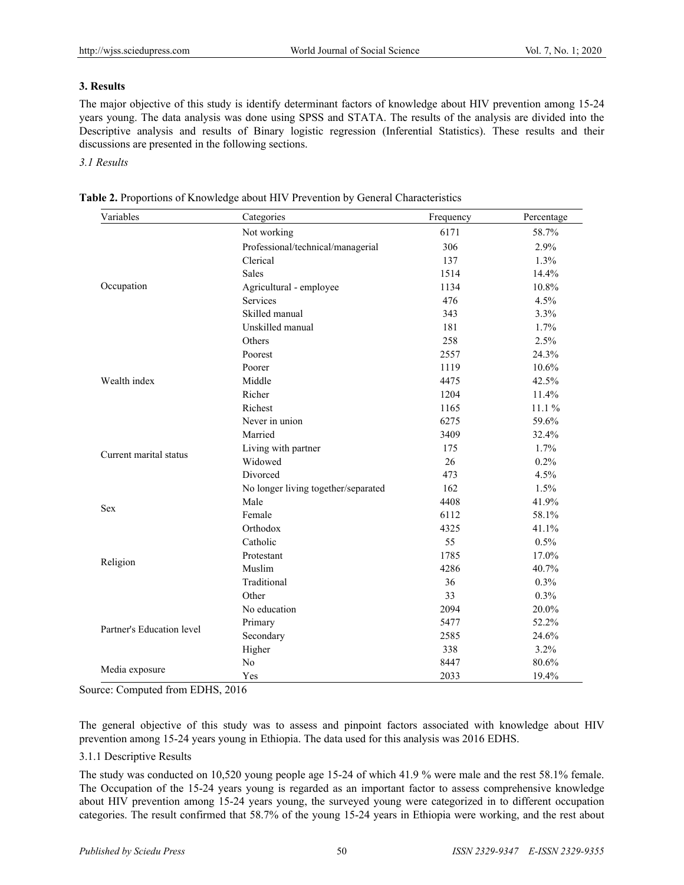# **3. Results**

The major objective of this study is identify determinant factors of knowledge about HIV prevention among 15-24 years young. The data analysis was done using SPSS and STATA. The results of the analysis are divided into the Descriptive analysis and results of Binary logistic regression (Inferential Statistics). These results and their discussions are presented in the following sections.

# *3.1 Results*

| Variables                 | Categories                          | Frequency | Percentage |  |
|---------------------------|-------------------------------------|-----------|------------|--|
|                           | Not working                         | 6171      | 58.7%      |  |
|                           | Professional/technical/managerial   | 306       | 2.9%       |  |
|                           | Clerical                            | 137       | 1.3%       |  |
|                           | <b>Sales</b>                        | 1514      | 14.4%      |  |
| Occupation                | Agricultural - employee             | 1134      | 10.8%      |  |
|                           | <b>Services</b>                     | 476       | 4.5%       |  |
|                           | Skilled manual                      | 343       | 3.3%       |  |
|                           | Unskilled manual                    | 181       | 1.7%       |  |
|                           | Others                              | 258       | 2.5%       |  |
|                           | Poorest                             | 2557      | 24.3%      |  |
|                           | Poorer                              | 1119      | 10.6%      |  |
| Wealth index              | Middle                              | 4475      | 42.5%      |  |
|                           | Richer                              | 1204      | 11.4%      |  |
|                           | Richest                             | 1165      | 11.1%      |  |
|                           | Never in union                      | 6275      | 59.6%      |  |
|                           | Married                             | 3409      | 32.4%      |  |
|                           | Living with partner                 | 175       | 1.7%       |  |
| Current marital status    | Widowed                             | 26        | 0.2%       |  |
|                           | Divorced                            | 473       | 4.5%       |  |
|                           | No longer living together/separated | 162       | 1.5%       |  |
|                           | Male                                | 4408      | 41.9%      |  |
| <b>Sex</b>                | Female                              | 6112      | 58.1%      |  |
|                           | Orthodox                            | 4325      | 41.1%      |  |
|                           | Catholic                            | 55        | 0.5%       |  |
|                           | Protestant                          | 1785      | 17.0%      |  |
| Religion                  | Muslim                              | 4286      | 40.7%      |  |
|                           | Traditional                         | 36        | 0.3%       |  |
|                           | Other                               | 33        | 0.3%       |  |
| Partner's Education level | No education                        | 2094      | 20.0%      |  |
|                           | Primary                             | 5477      | 52.2%      |  |
|                           | Secondary                           | 2585      | 24.6%      |  |
|                           | Higher                              | 338       | 3.2%       |  |
|                           | No                                  | 8447      | 80.6%      |  |
| Media exposure            | Yes                                 | 2033      | 19.4%      |  |

**Table 2.** Proportions of Knowledge about HIV Prevention by General Characteristics

Source: Computed from EDHS, 2016

The general objective of this study was to assess and pinpoint factors associated with knowledge about HIV prevention among 15-24 years young in Ethiopia. The data used for this analysis was 2016 EDHS.

# 3.1.1 Descriptive Results

The study was conducted on 10,520 young people age 15-24 of which 41.9 % were male and the rest 58.1% female. The Occupation of the 15-24 years young is regarded as an important factor to assess comprehensive knowledge about HIV prevention among 15-24 years young, the surveyed young were categorized in to different occupation categories. The result confirmed that 58.7% of the young 15-24 years in Ethiopia were working, and the rest about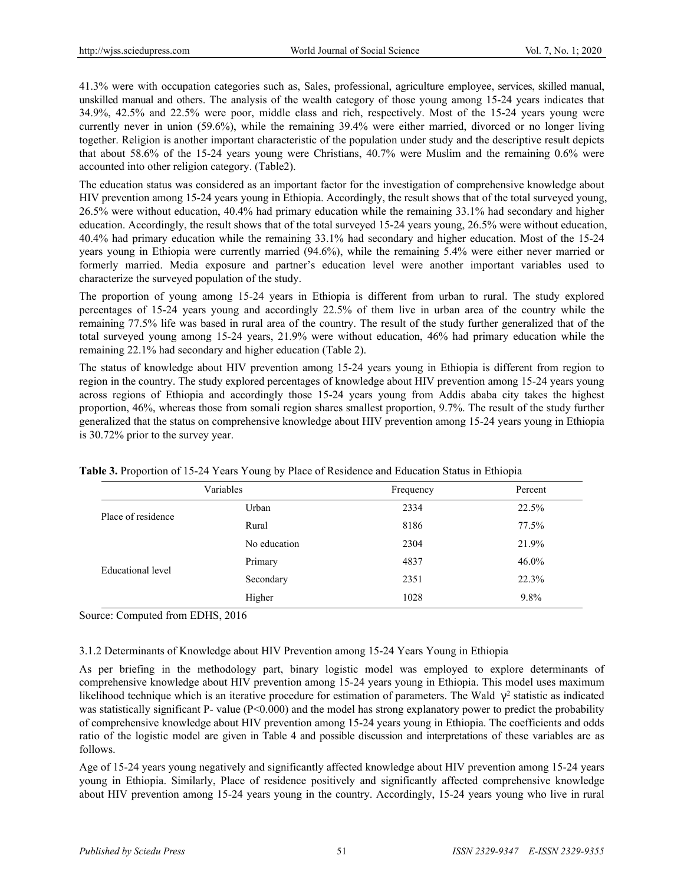41.3% were with occupation categories such as, Sales, professional, agriculture employee, services, skilled manual, unskilled manual and others. The analysis of the wealth category of those young among 15-24 years indicates that 34.9%, 42.5% and 22.5% were poor, middle class and rich, respectively. Most of the 15-24 years young were currently never in union (59.6%), while the remaining 39.4% were either married, divorced or no longer living together. Religion is another important characteristic of the population under study and the descriptive result depicts that about 58.6% of the 15-24 years young were Christians, 40.7% were Muslim and the remaining 0.6% were accounted into other religion category. (Table2).

The education status was considered as an important factor for the investigation of comprehensive knowledge about HIV prevention among 15-24 years young in Ethiopia. Accordingly, the result shows that of the total surveyed young, 26.5% were without education, 40.4% had primary education while the remaining 33.1% had secondary and higher education. Accordingly, the result shows that of the total surveyed 15-24 years young, 26.5% were without education, 40.4% had primary education while the remaining 33.1% had secondary and higher education. Most of the 15-24 years young in Ethiopia were currently married (94.6%), while the remaining 5.4% were either never married or formerly married. Media exposure and partner's education level were another important variables used to characterize the surveyed population of the study.

The proportion of young among 15-24 years in Ethiopia is different from urban to rural. The study explored percentages of 15-24 years young and accordingly 22.5% of them live in urban area of the country while the remaining 77.5% life was based in rural area of the country. The result of the study further generalized that of the total surveyed young among 15-24 years, 21.9% were without education, 46% had primary education while the remaining 22.1% had secondary and higher education (Table 2).

The status of knowledge about HIV prevention among 15-24 years young in Ethiopia is different from region to region in the country. The study explored percentages of knowledge about HIV prevention among 15-24 years young across regions of Ethiopia and accordingly those 15-24 years young from Addis ababa city takes the highest proportion, 46%, whereas those from somali region shares smallest proportion, 9.7%. The result of the study further generalized that the status on comprehensive knowledge about HIV prevention among 15-24 years young in Ethiopia is 30.72% prior to the survey year.

|                    | Variables    | Frequency | Percent |
|--------------------|--------------|-----------|---------|
| Place of residence | Urban        | 2334      | 22.5%   |
|                    | Rural        | 8186      | 77.5%   |
|                    | No education | 2304      | 21.9%   |
| Educational level  | Primary      | 4837      | 46.0%   |
|                    | Secondary    | 2351      | 22.3%   |
|                    | Higher       | 1028      | 9.8%    |

**Table 3.** Proportion of 15-24 Years Young by Place of Residence and Education Status in Ethiopia

Source: Computed from EDHS, 2016

# 3.1.2 Determinants of Knowledge about HIV Prevention among 15-24 Years Young in Ethiopia

As per briefing in the methodology part, binary logistic model was employed to explore determinants of comprehensive knowledge about HIV prevention among 15-24 years young in Ethiopia. This model uses maximum likelihood technique which is an iterative procedure for estimation of parameters. The Wald  $\gamma^2$  statistic as indicated was statistically significant P- value (P<0.000) and the model has strong explanatory power to predict the probability of comprehensive knowledge about HIV prevention among 15-24 years young in Ethiopia. The coefficients and odds ratio of the logistic model are given in Table 4 and possible discussion and interpretations of these variables are as follows.

Age of 15-24 years young negatively and significantly affected knowledge about HIV prevention among 15-24 years young in Ethiopia. Similarly, Place of residence positively and significantly affected comprehensive knowledge about HIV prevention among 15-24 years young in the country. Accordingly, 15-24 years young who live in rural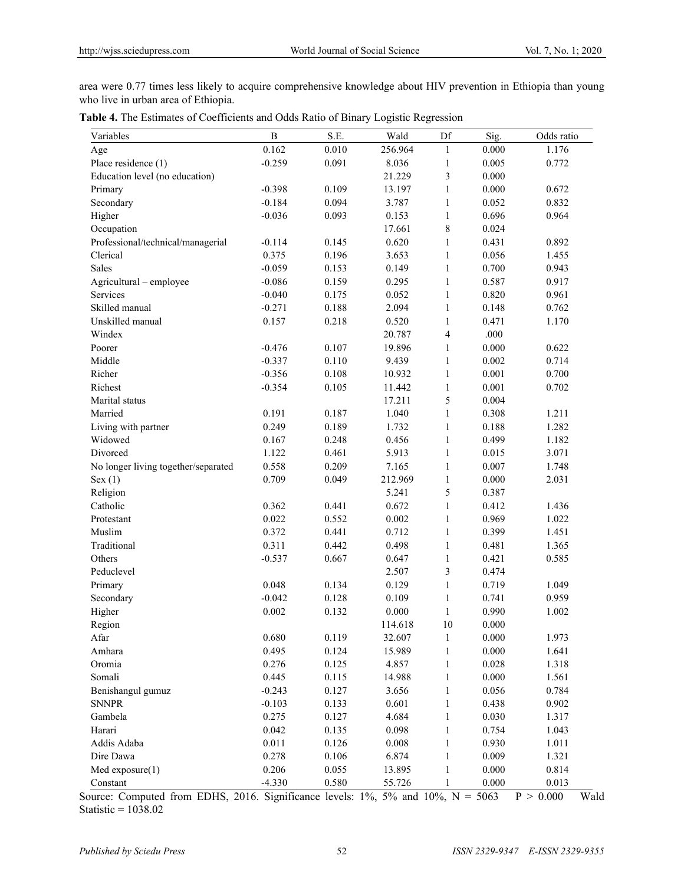area were 0.77 times less likely to acquire comprehensive knowledge about HIV prevention in Ethiopia than young who live in urban area of Ethiopia.

| Variables                           | $\overline{B}$ | S.E.  | Wald    | Df           | Sig.  | Odds ratio |
|-------------------------------------|----------------|-------|---------|--------------|-------|------------|
| Age                                 | 0.162          | 0.010 | 256.964 | 1            | 0.000 | 1.176      |
| Place residence (1)                 | $-0.259$       | 0.091 | 8.036   | $\mathbf{1}$ | 0.005 | 0.772      |
| Education level (no education)      |                |       | 21.229  | 3            | 0.000 |            |
| Primary                             | $-0.398$       | 0.109 | 13.197  | $\mathbf{1}$ | 0.000 | 0.672      |
| Secondary                           | $-0.184$       | 0.094 | 3.787   | $\mathbf{1}$ | 0.052 | 0.832      |
| Higher                              | $-0.036$       | 0.093 | 0.153   | $\mathbf{1}$ | 0.696 | 0.964      |
| Occupation                          |                |       | 17.661  | 8            | 0.024 |            |
| Professional/technical/managerial   | $-0.114$       | 0.145 | 0.620   | $\mathbf{1}$ | 0.431 | 0.892      |
| Clerical                            | 0.375          | 0.196 | 3.653   | $\mathbf{1}$ | 0.056 | 1.455      |
| Sales                               | $-0.059$       | 0.153 | 0.149   | $\mathbf{1}$ | 0.700 | 0.943      |
| Agricultural - employee             | $-0.086$       | 0.159 | 0.295   | $\mathbf{1}$ | 0.587 | 0.917      |
| Services                            | $-0.040$       | 0.175 | 0.052   | $\mathbf{1}$ | 0.820 | 0.961      |
| Skilled manual                      | $-0.271$       | 0.188 | 2.094   | $\mathbf{1}$ | 0.148 | 0.762      |
| Unskilled manual                    | 0.157          | 0.218 | 0.520   | $\mathbf{1}$ | 0.471 | 1.170      |
| Windex                              |                |       | 20.787  | 4            | .000  |            |
| Poorer                              | $-0.476$       | 0.107 | 19.896  | $\mathbf{1}$ | 0.000 | 0.622      |
| Middle                              | $-0.337$       | 0.110 | 9.439   | $\mathbf{1}$ | 0.002 | 0.714      |
| Richer                              | $-0.356$       | 0.108 | 10.932  | $\mathbf{1}$ | 0.001 | 0.700      |
| Richest                             | $-0.354$       | 0.105 | 11.442  | $\mathbf{1}$ | 0.001 | 0.702      |
| Marital status                      |                |       | 17.211  | 5            | 0.004 |            |
| Married                             | 0.191          | 0.187 | 1.040   | $\mathbf{1}$ | 0.308 | 1.211      |
| Living with partner                 | 0.249          | 0.189 | 1.732   | $\mathbf{1}$ | 0.188 | 1.282      |
| Widowed                             | 0.167          | 0.248 | 0.456   | $\mathbf{1}$ | 0.499 | 1.182      |
| Divorced                            | 1.122          | 0.461 | 5.913   | $\mathbf{1}$ | 0.015 | 3.071      |
| No longer living together/separated | 0.558          | 0.209 | 7.165   | $\mathbf{1}$ | 0.007 | 1.748      |
| Sex(1)                              | 0.709          | 0.049 | 212.969 | $\mathbf{1}$ | 0.000 | 2.031      |
| Religion                            |                |       | 5.241   | 5            | 0.387 |            |
| Catholic                            | 0.362          | 0.441 | 0.672   | $\mathbf{1}$ | 0.412 | 1.436      |
| Protestant                          | 0.022          | 0.552 | 0.002   | $\mathbf{1}$ | 0.969 | 1.022      |
| Muslim                              | 0.372          | 0.441 | 0.712   | $\mathbf{1}$ | 0.399 | 1.451      |
| Traditional                         | 0.311          | 0.442 | 0.498   | $\mathbf{1}$ | 0.481 | 1.365      |
| Others                              | $-0.537$       | 0.667 | 0.647   | $\mathbf{1}$ | 0.421 | 0.585      |
| Peduclevel                          |                |       | 2.507   | 3            | 0.474 |            |
| Primary                             | 0.048          | 0.134 | 0.129   | $\mathbf{1}$ | 0.719 | 1.049      |
| Secondary                           | $-0.042$       | 0.128 | 0.109   | $\mathbf{1}$ | 0.741 | 0.959      |
| Higher                              | 0.002          | 0.132 | 0.000   | $\mathbf{1}$ | 0.990 | 1.002      |
| Region                              |                |       | 114.618 | 10           | 0.000 |            |
| Afar                                | 0.680          | 0.119 | 32.607  | $\,1$        | 0.000 | 1.973      |
| Amhara                              | 0.495          | 0.124 | 15.989  | $\mathbf{1}$ | 0.000 | 1.641      |
| Oromia                              | 0.276          | 0.125 | 4.857   | $\mathbf{1}$ | 0.028 | 1.318      |
| Somali                              | 0.445          | 0.115 | 14.988  | $\mathbf{1}$ | 0.000 | 1.561      |
| Benishangul gumuz                   | $-0.243$       | 0.127 | 3.656   | $\mathbf{1}$ | 0.056 | 0.784      |
| <b>SNNPR</b>                        | $-0.103$       | 0.133 | 0.601   | $\mathbf{1}$ | 0.438 | 0.902      |
| Gambela                             | 0.275          | 0.127 | 4.684   | $\mathbf{1}$ | 0.030 | 1.317      |
| Harari                              | 0.042          | 0.135 | 0.098   | $\mathbf{1}$ | 0.754 | 1.043      |
| Addis Adaba                         | 0.011          | 0.126 | 0.008   | $\mathbf{1}$ | 0.930 | 1.011      |
| Dire Dawa                           | 0.278          | 0.106 | 6.874   | 1            | 0.009 | 1.321      |
| $Med$ exposure $(1)$                | 0.206          | 0.055 | 13.895  | $\mathbf{1}$ | 0.000 | 0.814      |
| Constant                            | $-4.330$       | 0.580 | 55.726  | 1            | 0.000 | 0.013      |

Source: Computed from EDHS, 2016. Significance levels:  $1\%$ ,  $5\%$  and  $10\%$ ,  $N = 5063$   $P > 0.000$  Wald Statistic = 1038.02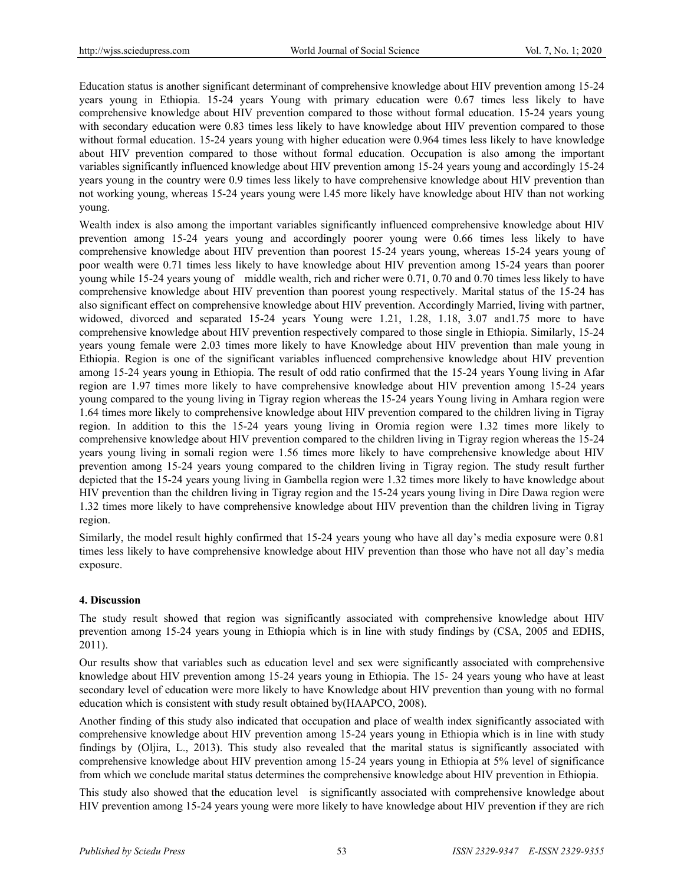Education status is another significant determinant of comprehensive knowledge about HIV prevention among 15-24 years young in Ethiopia. 15-24 years Young with primary education were 0.67 times less likely to have comprehensive knowledge about HIV prevention compared to those without formal education. 15-24 years young with secondary education were 0.83 times less likely to have knowledge about HIV prevention compared to those without formal education. 15-24 years young with higher education were 0.964 times less likely to have knowledge about HIV prevention compared to those without formal education. Occupation is also among the important variables significantly influenced knowledge about HIV prevention among 15-24 years young and accordingly 15-24 years young in the country were 0.9 times less likely to have comprehensive knowledge about HIV prevention than not working young, whereas 15-24 years young were l.45 more likely have knowledge about HIV than not working young.

Wealth index is also among the important variables significantly influenced comprehensive knowledge about HIV prevention among 15-24 years young and accordingly poorer young were 0.66 times less likely to have comprehensive knowledge about HIV prevention than poorest 15-24 years young, whereas 15-24 years young of poor wealth were 0.71 times less likely to have knowledge about HIV prevention among 15-24 years than poorer young while 15-24 years young of middle wealth, rich and richer were 0.71, 0.70 and 0.70 times less likely to have comprehensive knowledge about HIV prevention than poorest young respectively. Marital status of the 15-24 has also significant effect on comprehensive knowledge about HIV prevention. Accordingly Married, living with partner, widowed, divorced and separated 15-24 years Young were 1.21, 1.28, 1.18, 3.07 and1.75 more to have comprehensive knowledge about HIV prevention respectively compared to those single in Ethiopia. Similarly, 15-24 years young female were 2.03 times more likely to have Knowledge about HIV prevention than male young in Ethiopia. Region is one of the significant variables influenced comprehensive knowledge about HIV prevention among 15-24 years young in Ethiopia. The result of odd ratio confirmed that the 15-24 years Young living in Afar region are 1.97 times more likely to have comprehensive knowledge about HIV prevention among 15-24 years young compared to the young living in Tigray region whereas the 15-24 years Young living in Amhara region were 1.64 times more likely to comprehensive knowledge about HIV prevention compared to the children living in Tigray region. In addition to this the 15-24 years young living in Oromia region were 1.32 times more likely to comprehensive knowledge about HIV prevention compared to the children living in Tigray region whereas the 15-24 years young living in somali region were 1.56 times more likely to have comprehensive knowledge about HIV prevention among 15-24 years young compared to the children living in Tigray region. The study result further depicted that the 15-24 years young living in Gambella region were 1.32 times more likely to have knowledge about HIV prevention than the children living in Tigray region and the 15-24 years young living in Dire Dawa region were 1.32 times more likely to have comprehensive knowledge about HIV prevention than the children living in Tigray region.

Similarly, the model result highly confirmed that 15-24 years young who have all day's media exposure were 0.81 times less likely to have comprehensive knowledge about HIV prevention than those who have not all day's media exposure.

# **4. Discussion**

The study result showed that region was significantly associated with comprehensive knowledge about HIV prevention among 15-24 years young in Ethiopia which is in line with study findings by (CSA, 2005 and EDHS, 2011).

Our results show that variables such as education level and sex were significantly associated with comprehensive knowledge about HIV prevention among 15-24 years young in Ethiopia. The 15- 24 years young who have at least secondary level of education were more likely to have Knowledge about HIV prevention than young with no formal education which is consistent with study result obtained by(HAAPCO, 2008).

Another finding of this study also indicated that occupation and place of wealth index significantly associated with comprehensive knowledge about HIV prevention among 15-24 years young in Ethiopia which is in line with study findings by (Oljira, L., 2013). This study also revealed that the marital status is significantly associated with comprehensive knowledge about HIV prevention among 15-24 years young in Ethiopia at 5% level of significance from which we conclude marital status determines the comprehensive knowledge about HIV prevention in Ethiopia.

This study also showed that the education level is significantly associated with comprehensive knowledge about HIV prevention among 15-24 years young were more likely to have knowledge about HIV prevention if they are rich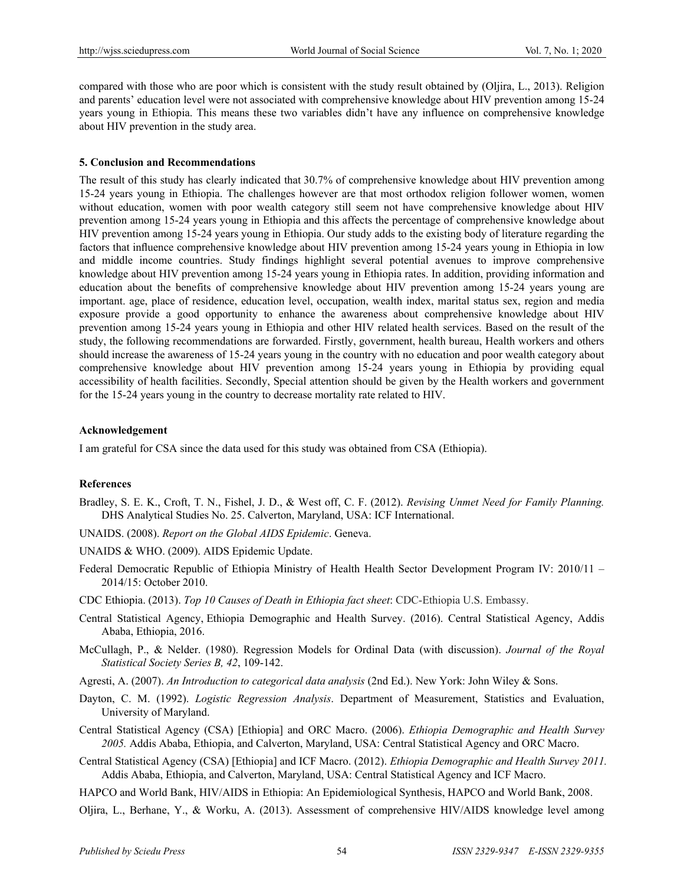compared with those who are poor which is consistent with the study result obtained by (Oljira, L., 2013). Religion and parents' education level were not associated with comprehensive knowledge about HIV prevention among 15-24 years young in Ethiopia. This means these two variables didn't have any influence on comprehensive knowledge about HIV prevention in the study area.

### **5. Conclusion and Recommendations**

The result of this study has clearly indicated that 30.7% of comprehensive knowledge about HIV prevention among 15-24 years young in Ethiopia. The challenges however are that most orthodox religion follower women, women without education, women with poor wealth category still seem not have comprehensive knowledge about HIV prevention among 15-24 years young in Ethiopia and this affects the percentage of comprehensive knowledge about HIV prevention among 15-24 years young in Ethiopia. Our study adds to the existing body of literature regarding the factors that influence comprehensive knowledge about HIV prevention among 15-24 years young in Ethiopia in low and middle income countries. Study findings highlight several potential avenues to improve comprehensive knowledge about HIV prevention among 15-24 years young in Ethiopia rates. In addition, providing information and education about the benefits of comprehensive knowledge about HIV prevention among 15-24 years young are important. age, place of residence, education level, occupation, wealth index, marital status sex, region and media exposure provide a good opportunity to enhance the awareness about comprehensive knowledge about HIV prevention among 15-24 years young in Ethiopia and other HIV related health services. Based on the result of the study, the following recommendations are forwarded. Firstly, government, health bureau, Health workers and others should increase the awareness of 15-24 years young in the country with no education and poor wealth category about comprehensive knowledge about HIV prevention among 15-24 years young in Ethiopia by providing equal accessibility of health facilities. Secondly, Special attention should be given by the Health workers and government for the 15-24 years young in the country to decrease mortality rate related to HIV.

## **Acknowledgement**

I am grateful for CSA since the data used for this study was obtained from CSA (Ethiopia).

### **References**

- Bradley, S. E. K., Croft, T. N., Fishel, J. D., & West off, C. F. (2012). *Revising Unmet Need for Family Planning.* DHS Analytical Studies No. 25. Calverton, Maryland, USA: ICF International.
- UNAIDS. (2008). *Report on the Global AIDS Epidemic*. Geneva.
- UNAIDS & WHO. (2009). AIDS Epidemic Update.
- Federal Democratic Republic of Ethiopia Ministry of Health Health Sector Development Program IV: 2010/11 2014/15: October 2010.
- CDC Ethiopia. (2013). *Top 10 Causes of Death in Ethiopia fact sheet*: CDC-Ethiopia U.S. Embassy.
- Central Statistical Agency, Ethiopia Demographic and Health Survey. (2016). Central Statistical Agency, Addis Ababa, Ethiopia, 2016.
- McCullagh, P., & Nelder. (1980). Regression Models for Ordinal Data (with discussion). *Journal of the Royal Statistical Society Series B, 42*, 109-142.
- Agresti, A. (2007). *An Introduction to categorical data analysis* (2nd Ed.). New York: John Wiley & Sons.
- Dayton, C. M. (1992). *Logistic Regression Analysis*. Department of Measurement, Statistics and Evaluation, University of Maryland.
- Central Statistical Agency (CSA) [Ethiopia] and ORC Macro. (2006). *Ethiopia Demographic and Health Survey 2005.* Addis Ababa, Ethiopia, and Calverton, Maryland, USA: Central Statistical Agency and ORC Macro.
- Central Statistical Agency (CSA) [Ethiopia] and ICF Macro. (2012). *Ethiopia Demographic and Health Survey 2011.* Addis Ababa, Ethiopia, and Calverton, Maryland, USA: Central Statistical Agency and ICF Macro.
- HAPCO and World Bank, HIV/AIDS in Ethiopia: An Epidemiological Synthesis, HAPCO and World Bank, 2008.
- Oljira, L., Berhane, Y., & Worku, A. (2013). Assessment of comprehensive HIV/AIDS knowledge level among